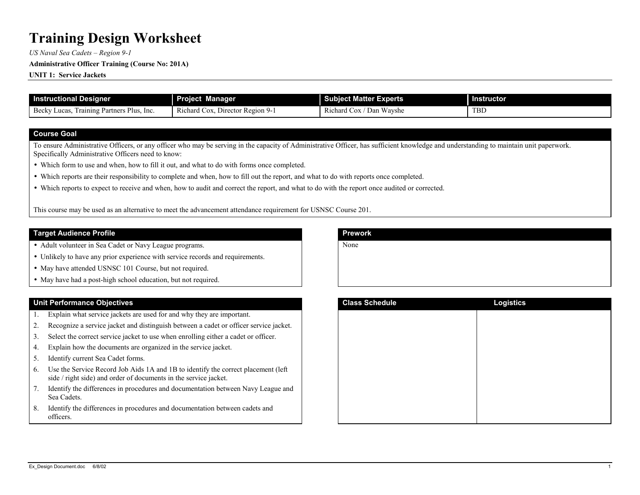*US Naval Sea Cadets - Region 9-1* 

#### **Administrative Officer Training (Course No: 201A)**

**UNIT 1: Service Jackets**

| <b>Instructional Designer</b>                                          | Manager<br><b>roject</b>                                                               | j<br>Experts<br>Subject Matter F                       | <b>Instructor</b> |
|------------------------------------------------------------------------|----------------------------------------------------------------------------------------|--------------------------------------------------------|-------------------|
| Plus.<br>Becky<br>Luca<br>· Partners.<br><sub>1</sub> Inc<br>l rainins | –<br>Ð<br><b>Luor</b> Region 2<br>Cox.<br><b>D</b> 14<br>hard<br>Director<br>- Y-<br>w | Richard<br>Wayshe<br>$\mathbf{r}$<br><b>COX</b><br>Dan | <b>TBD</b>        |

#### **Course Goal**

To ensure Administrative Officers, or any officer who may be serving in the capacity of Administrative Officer, has sufficient knowledge and understanding to maintain unit paperwork. Specifically Administrative Officers need to know:

- Which form to use and when, how to fill it out, and what to do with forms once completed.
- Which reports are their responsibility to complete and when, how to fill out the report, and what to do with reports once completed.
- Which reports to expect to receive and when, how to audit and correct the report, and what to do with the report once audited or corrected.

This course may be used as an alternative to meet the advancement attendance requirement for USNSC Course 201.

### **Target Audience Profile**

- Adult volunteer in Sea Cadet or Navy League programs.
- Unlikely to have any prior experience with service records and requirements.
- May have attended USNSC 101 Course, but not required.
- May have had a post-high school education, but not required.

#### **Unit Performance Objectives**

- 1.Explain what service jackets are used for and why they are important.
- 2.Recognize a service jacket and distinguish between a cadet or officer service jacket.
- 3.Select the correct service jacket to use when enrolling either a cadet or officer.
- 4.Explain how the documents are organized in the service jacket.
- 5.Identify current Sea Cadet forms.
- 6. Use the Service Record Job Aids 1A and 1B to identify the correct placement (left side / right side) and order of documents in the service jacket.
- 7. Identify the differences in procedures and documentation between Navy League and Sea Cadets.
- 8. Identify the differences in procedures and documentation between cadets and officers.

| <b>Prework</b> |  |  |
|----------------|--|--|
| None           |  |  |
|                |  |  |
|                |  |  |
|                |  |  |
|                |  |  |

| <b>Class Schedule</b> | <b>Logistics</b> |
|-----------------------|------------------|
|                       |                  |
|                       |                  |
|                       |                  |
|                       |                  |
|                       |                  |
|                       |                  |
|                       |                  |
|                       |                  |
|                       |                  |
|                       |                  |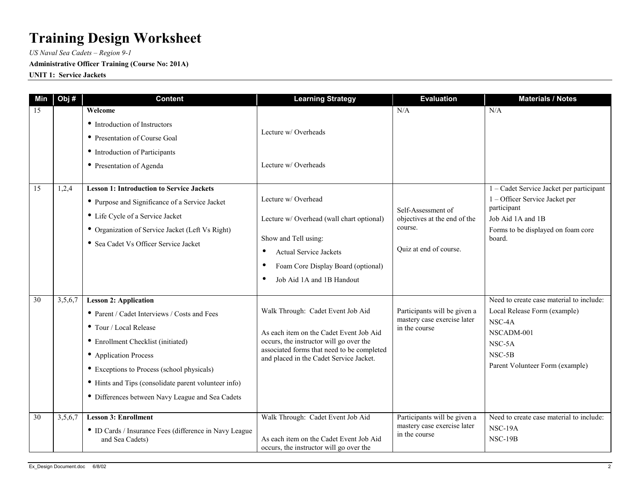*US Naval Sea Cadets - Region 9-1* 

## **Administrative Officer Training (Course No: 201A)**

**UNIT 1: Service Jackets**

| Min | Obj#    | <b>Content</b>                                                                                                                                                                                                                                                                                                                  | <b>Learning Strategy</b>                                                                                                                                                                                               | <b>Evaluation</b>                                                                       | <b>Materials / Notes</b>                                                                                                                                       |
|-----|---------|---------------------------------------------------------------------------------------------------------------------------------------------------------------------------------------------------------------------------------------------------------------------------------------------------------------------------------|------------------------------------------------------------------------------------------------------------------------------------------------------------------------------------------------------------------------|-----------------------------------------------------------------------------------------|----------------------------------------------------------------------------------------------------------------------------------------------------------------|
| 15  |         | Welcome<br>• Introduction of Instructors<br>• Presentation of Course Goal<br>• Introduction of Participants<br>• Presentation of Agenda                                                                                                                                                                                         | Lecture w/Overheads<br>Lecture w/ Overheads                                                                                                                                                                            | N/A                                                                                     | N/A                                                                                                                                                            |
| 15  | 1,2,4   | <b>Lesson 1: Introduction to Service Jackets</b><br>• Purpose and Significance of a Service Jacket<br>• Life Cycle of a Service Jacket<br>• Organization of Service Jacket (Left Vs Right)<br>• Sea Cadet Vs Officer Service Jacket                                                                                             | Lecture w/ Overhead<br>Lecture w/ Overhead (wall chart optional)<br>Show and Tell using:<br><b>Actual Service Jackets</b><br>Foam Core Display Board (optional)<br>$\bullet$<br>Job Aid 1A and 1B Handout<br>$\bullet$ | Self-Assessment of<br>objectives at the end of the<br>course.<br>Quiz at end of course. | 1 – Cadet Service Jacket per participant<br>1 - Officer Service Jacket per<br>participant<br>Job Aid 1A and 1B<br>Forms to be displayed on foam core<br>board. |
| 30  | 3,5,6,7 | <b>Lesson 2: Application</b><br>• Parent / Cadet Interviews / Costs and Fees<br>• Tour / Local Release<br>• Enrollment Checklist (initiated)<br>• Application Process<br>• Exceptions to Process (school physicals)<br>• Hints and Tips (consolidate parent volunteer info)<br>• Differences between Navy League and Sea Cadets | Walk Through: Cadet Event Job Aid<br>As each item on the Cadet Event Job Aid<br>occurs, the instructor will go over the<br>associated forms that need to be completed<br>and placed in the Cadet Service Jacket.       | Participants will be given a<br>mastery case exercise later<br>in the course            | Need to create case material to include:<br>Local Release Form (example)<br>NSC-4A<br>NSCADM-001<br>NSC-5A<br>NSC-5B<br>Parent Volunteer Form (example)        |
| 30  | 3,5,6,7 | <b>Lesson 3: Enrollment</b><br>• ID Cards / Insurance Fees (difference in Navy League<br>and Sea Cadets)                                                                                                                                                                                                                        | Walk Through: Cadet Event Job Aid<br>As each item on the Cadet Event Job Aid<br>occurs, the instructor will go over the                                                                                                | Participants will be given a<br>mastery case exercise later<br>in the course            | Need to create case material to include:<br>NSC-19A<br><b>NSC-19B</b>                                                                                          |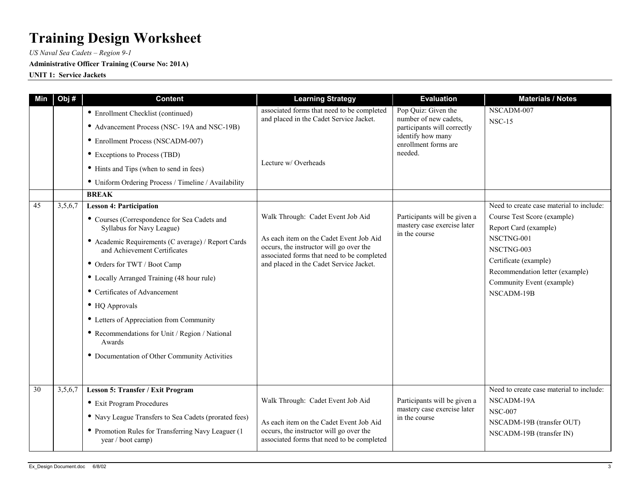*US Naval Sea Cadets - Region 9-1* 

## **Administrative Officer Training (Course No: 201A)**

**UNIT 1: Service Jackets**

| Min | Obj#    | <b>Content</b>                                                                     | <b>Learning Strategy</b>                                                                                                         | <b>Evaluation</b>                                                            | <b>Materials / Notes</b>                                     |
|-----|---------|------------------------------------------------------------------------------------|----------------------------------------------------------------------------------------------------------------------------------|------------------------------------------------------------------------------|--------------------------------------------------------------|
|     |         | • Enrollment Checklist (continued)                                                 | associated forms that need to be completed<br>and placed in the Cadet Service Jacket.                                            | Pop Quiz: Given the<br>number of new cadets,<br>participants will correctly  | NSCADM-007                                                   |
|     |         | • Advancement Process (NSC-19A and NSC-19B)                                        |                                                                                                                                  |                                                                              | <b>NSC-15</b>                                                |
|     |         | • Enrollment Process (NSCADM-007)                                                  |                                                                                                                                  | identify how many<br>enrollment forms are                                    |                                                              |
|     |         | • Exceptions to Process (TBD)                                                      |                                                                                                                                  | needed.                                                                      |                                                              |
|     |         | • Hints and Tips (when to send in fees)                                            | Lecture w/Overheads                                                                                                              |                                                                              |                                                              |
|     |         | • Uniform Ordering Process / Timeline / Availability                               |                                                                                                                                  |                                                                              |                                                              |
|     |         | <b>BREAK</b>                                                                       |                                                                                                                                  |                                                                              |                                                              |
| 45  | 3,5,6,7 | <b>Lesson 4: Participation</b>                                                     |                                                                                                                                  |                                                                              | Need to create case material to include:                     |
|     |         | • Courses (Correspondence for Sea Cadets and<br>Syllabus for Navy League)          | Walk Through: Cadet Event Job Aid                                                                                                | Participants will be given a<br>mastery case exercise later<br>in the course | Course Test Score (example)<br>Report Card (example)         |
|     |         | • Academic Requirements (C average) / Report Cards<br>and Achievement Certificates | As each item on the Cadet Event Job Aid<br>occurs, the instructor will go over the<br>associated forms that need to be completed |                                                                              | NSCTNG-001<br>NSCTNG-003                                     |
|     |         | • Orders for TWT / Boot Camp                                                       | and placed in the Cadet Service Jacket.                                                                                          |                                                                              | Certificate (example)                                        |
|     |         | • Locally Arranged Training (48 hour rule)                                         |                                                                                                                                  |                                                                              | Recommendation letter (example)<br>Community Event (example) |
|     |         | • Certificates of Advancement                                                      |                                                                                                                                  |                                                                              | NSCADM-19B                                                   |
|     |         | $\bullet$ HQ Approvals                                                             |                                                                                                                                  |                                                                              |                                                              |
|     |         | • Letters of Appreciation from Community                                           |                                                                                                                                  |                                                                              |                                                              |
|     |         | • Recommendations for Unit / Region / National<br>Awards                           |                                                                                                                                  |                                                                              |                                                              |
|     |         | • Documentation of Other Community Activities                                      |                                                                                                                                  |                                                                              |                                                              |
|     |         |                                                                                    |                                                                                                                                  |                                                                              |                                                              |
| 30  |         | Lesson 5: Transfer / Exit Program                                                  |                                                                                                                                  |                                                                              | Need to create case material to include:                     |
|     | 3,5,6,7 |                                                                                    | Walk Through: Cadet Event Job Aid                                                                                                | Participants will be given a<br>mastery case exercise later<br>in the course | NSCADM-19A                                                   |
|     |         | • Exit Program Procedures                                                          |                                                                                                                                  |                                                                              | <b>NSC-007</b>                                               |
|     |         | • Navy League Transfers to Sea Cadets (prorated fees)                              | As each item on the Cadet Event Job Aid                                                                                          |                                                                              | NSCADM-19B (transfer OUT)                                    |
|     |         | • Promotion Rules for Transferring Navy Leaguer (1)<br>year / boot camp)           | occurs, the instructor will go over the<br>associated forms that need to be completed                                            |                                                                              | NSCADM-19B (transfer IN)                                     |